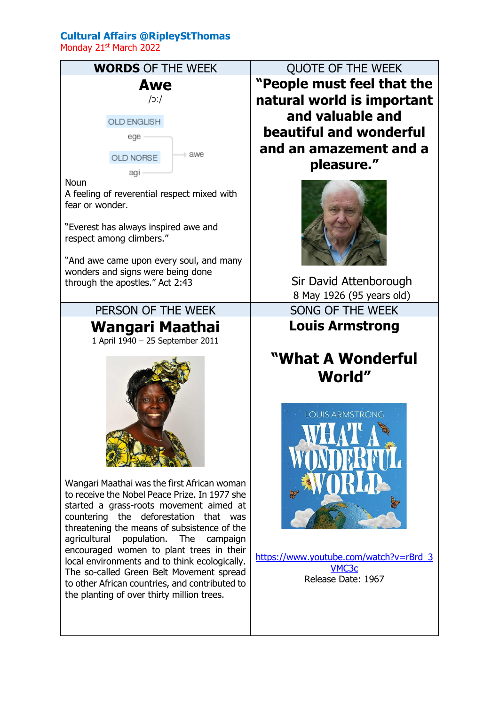## **Cultural Affairs @RipleyStThomas**

Monday 21<sup>st</sup> March 2022

| <b>WORDS OF THE WEEK</b>                                                                                                                                                                     | <b>QUOTE OF THE WEEK</b>                                                        |
|----------------------------------------------------------------------------------------------------------------------------------------------------------------------------------------------|---------------------------------------------------------------------------------|
| Awe<br> C                                                                                                                                                                                    | "People must feel that the<br>natural world is important                        |
| OLD ENGLISH                                                                                                                                                                                  | and valuable and                                                                |
| ege                                                                                                                                                                                          | beautiful and wonderful                                                         |
| - awe<br>OLD NORSE                                                                                                                                                                           | and an amazement and a                                                          |
| agi                                                                                                                                                                                          | pleasure."                                                                      |
| <b>Noun</b><br>A feeling of reverential respect mixed with<br>fear or wonder.<br>"Everest has always inspired awe and<br>respect among climbers."<br>"And awe came upon every soul, and many |                                                                                 |
| wonders and signs were being done<br>through the apostles." Act 2:43                                                                                                                         | Sir David Attenborough                                                          |
|                                                                                                                                                                                              | 8 May 1926 (95 years old)                                                       |
| PERSON OF THE WEEK                                                                                                                                                                           | SONG OF THE WEEK                                                                |
|                                                                                                                                                                                              |                                                                                 |
| Wangari Maathai<br>1 April 1940 - 25 September 2011                                                                                                                                          | <b>Louis Armstrong</b><br>"What A Wonderful<br>World"<br><b>LOUIS ARMSTRONG</b> |